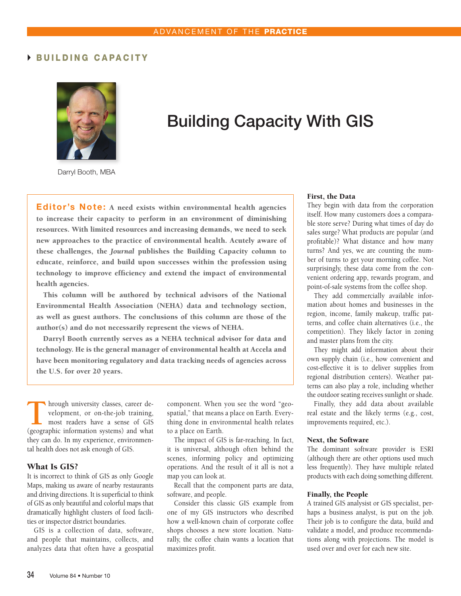## BUILDING CAPACITY



# Building Capacity With GIS

Darryl Booth, MBA

Editor's Note: A need exists within environmental health agencies to increase their capacity to perform in an environment of diminishing resources. With limited resources and increasing demands, we need to seek new approaches to the practice of environmental health. Acutely aware of these challenges, the *Journal* publishes the Building Capacity column to educate, reinforce, and build upon successes within the profession using technology to improve efficiency and extend the impact of environmental health agencies.

This column will be authored by technical advisors of the National Environmental Health Association (NEHA) data and technology section, as well as guest authors. The conclusions of this column are those of the author(s) and do not necessarily represent the views of NEHA.

Darryl Booth currently serves as a NEHA technical advisor for data and technology. He is the general manager of environmental health at Accela and have been monitoring regulatory and data tracking needs of agencies across the U.S. for over 20 years.

Through university classes, career development, or on-the-job training,<br>most readers have a sense of GIS<br>(geographic information systems) and what velopment, or on-the-job training, (geographic information systems) and what they can do. In my experience, environmental health does not ask enough of GIS.

#### What Is GIS?

It is incorrect to think of GIS as only Google Maps, making us aware of nearby restaurants and driving directions. It is superficial to think of GIS as only beautiful and colorful maps that dramatically highlight clusters of food facilities or inspector district boundaries.

GIS is a collection of data, software, and people that maintains, collects, and analyzes data that often have a geospatial component. When you see the word "geospatial," that means a place on Earth. Everything done in environmental health relates to a place on Earth.

The impact of GIS is far-reaching. In fact, it is universal, although often behind the scenes, informing policy and optimizing operations. And the result of it all is not a map you can look at.

Recall that the component parts are data, software, and people.

Consider this classic GIS example from one of my GIS instructors who described how a well-known chain of corporate coffee shops chooses a new store location. Naturally, the coffee chain wants a location that maximizes profit.

#### First, the Data

They begin with data from the corporation itself. How many customers does a comparable store serve? During what times of day do sales surge? What products are popular (and profitable)? What distance and how many turns? And yes, we are counting the number of turns to get your morning coffee. Not surprisingly, these data come from the convenient ordering app, rewards program, and point-of-sale systems from the coffee shop.

They add commercially available information about homes and businesses in the region, income, family makeup, traffic patterns, and coffee chain alternatives (i.e., the competition). They likely factor in zoning and master plans from the city.

They might add information about their own supply chain (i.e., how convenient and cost-effective it is to deliver supplies from regional distribution centers). Weather patterns can also play a role, including whether the outdoor seating receives sunlight or shade.

Finally, they add data about available real estate and the likely terms (e.g., cost, improvements required, etc.).

## Next, the Software

The dominant software provider is ESRI (although there are other options used much less frequently). They have multiple related products with each doing something different.

#### Finally, the People

A trained GIS analysist or GIS specialist, perhaps a business analyst, is put on the job. Their job is to configure the data, build and validate a model, and produce recommendations along with projections. The model is used over and over for each new site.